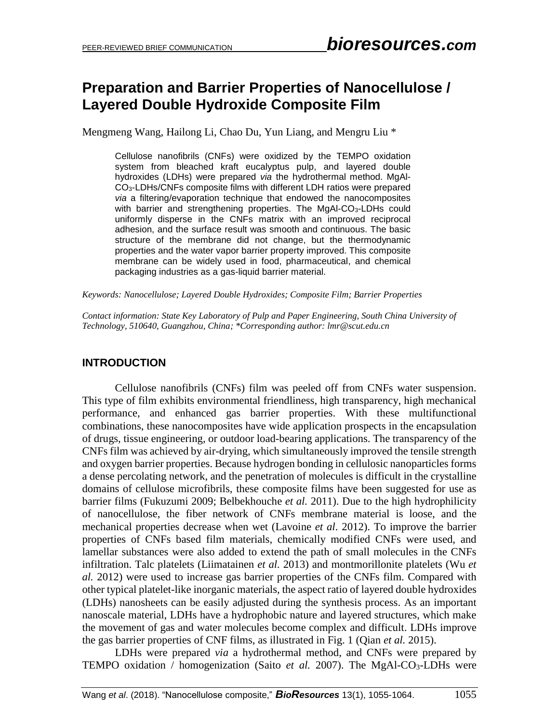## **Preparation and Barrier Properties of Nanocellulose / Layered Double Hydroxide Composite Film**

Mengmeng Wang, Hailong Li, Chao Du, Yun Liang, and Mengru Liu \*

Cellulose nanofibrils (CNFs) were oxidized by the TEMPO oxidation system from bleached kraft eucalyptus pulp, and layered double hydroxides (LDHs) were prepared *via* the hydrothermal method. MgAl-CO3-LDHs/CNFs composite films with different LDH ratios were prepared *via* a filtering/evaporation technique that endowed the nanocomposites with barrier and strengthening properties. The MgAl-CO<sub>3</sub>-LDHs could uniformly disperse in the CNFs matrix with an improved reciprocal adhesion, and the surface result was smooth and continuous. The basic structure of the membrane did not change, but the thermodynamic properties and the water vapor barrier property improved. This composite membrane can be widely used in food, pharmaceutical, and chemical packaging industries as a gas-liquid barrier material.

*Keywords: Nanocellulose; Layered Double Hydroxides; Composite Film; Barrier Properties*

*Contact information: State Key Laboratory of Pulp and Paper Engineering, South China University of Technology, 510640, Guangzhou, China; \*Corresponding author: lmr@scut.edu.cn*

#### **INTRODUCTION**

Cellulose nanofibrils (CNFs) film was peeled off from CNFs water suspension. This type of film exhibits environmental friendliness, high transparency, high mechanical performance, and enhanced gas barrier properties. With these multifunctional combinations, these nanocomposites have wide application prospects in the encapsulation of drugs, tissue engineering, or outdoor load-bearing applications. The transparency of the CNFs film was achieved by air-drying, which simultaneously improved the tensile strength and oxygen barrier properties. Because hydrogen bonding in cellulosic nanoparticles forms a dense percolating network, and the penetration of molecules is difficult in the crystalline domains of cellulose microfibrils, these composite films have been suggested for use as barrier films (Fukuzumi 2009; Belbekhouche *et al.* 2011). Due to the high hydrophilicity of nanocellulose, the fiber network of CNFs membrane material is loose, and the mechanical properties decrease when wet (Lavoine *et al*. 2012). To improve the barrier properties of CNFs based film materials, chemically modified CNFs were used, and lamellar substances were also added to extend the path of small molecules in the CNFs infiltration. Talc platelets (Liimatainen *et al.* 2013) and montmorillonite platelets (Wu *et al.* 2012) were used to increase gas barrier properties of the CNFs film. Compared with other typical platelet-like inorganic materials, the aspect ratio of layered double hydroxides (LDHs) nanosheets can be easily adjusted during the synthesis process. As an important nanoscale material, LDHs have a hydrophobic nature and layered structures, which make the movement of gas and water molecules become complex and difficult. LDHs improve the gas barrier properties of CNF films, as illustrated in Fig. 1 (Qian *et al.* 2015).

LDHs were prepared *via* a hydrothermal method, and CNFs were prepared by TEMPO oxidation / homogenization (Saito *et al.* 2007). The MgAl-CO<sub>3</sub>-LDHs were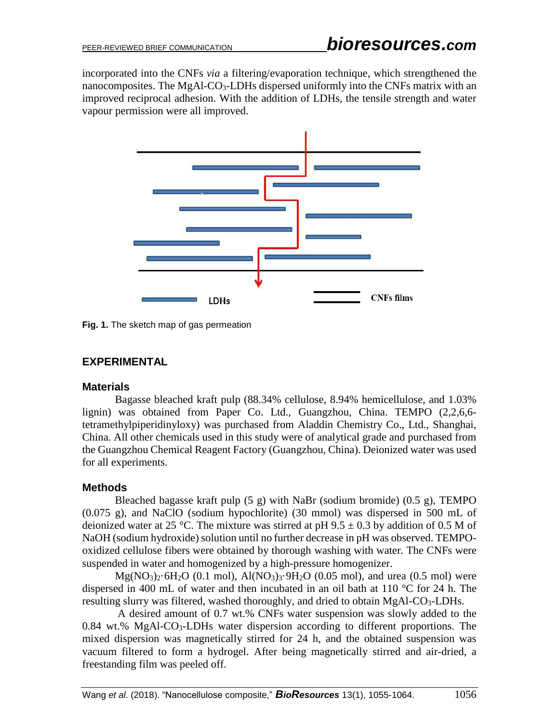incorporated into the CNFs *via* a filtering/evaporation technique, which strengthened the nanocomposites. The MgAl-CO<sub>3</sub>-LDHs dispersed uniformly into the CNFs matrix with an improved reciprocal adhesion. With the addition of LDHs, the tensile strength and water vapour permission were all improved.



**Fig. 1.** The sketch map of gas permeation

#### **EXPERIMENTAL**

#### **Materials**

Bagasse bleached kraft pulp (88.34% cellulose, 8.94% hemicellulose, and 1.03% lignin) was obtained from Paper Co. Ltd., Guangzhou, China. TEMPO (2,2,6,6tetramethylpiperidinyloxy) was purchased from Aladdin Chemistry Co., Ltd., Shanghai, China. All other chemicals used in this study were of analytical grade and purchased from the Guangzhou Chemical Reagent Factory (Guangzhou, China). Deionized water was used for all experiments.

#### **Methods**

Bleached bagasse kraft pulp (5 g) with NaBr (sodium bromide) (0.5 g), TEMPO (0.075 g), and NaClO (sodium hypochlorite) (30 mmol) was dispersed in 500 mL of deionized water at 25 °C. The mixture was stirred at pH 9.5  $\pm$  0.3 by addition of 0.5 M of NaOH (sodium hydroxide) solution until no further decrease in pH was observed. TEMPOoxidized cellulose fibers were obtained by thorough washing with water. The CNFs were suspended in water and homogenized by a high-pressure homogenizer.

 $Mg(NO<sub>3</sub>)<sub>2</sub>·6H<sub>2</sub>O$  (0.1 mol), Al(NO<sub>3</sub>)<sub>3</sub><sup>·</sup>9H<sub>2</sub>O (0.05 mol), and urea (0.5 mol) were dispersed in 400 mL of water and then incubated in an oil bath at 110 °C for 24 h. The resulting slurry was filtered, washed thoroughly, and dried to obtain MgAl-CO<sub>3</sub>-LDHs.

A desired amount of 0.7 wt.% CNFs water suspension was slowly added to the 0.84 wt.% MgAl-CO<sub>3</sub>-LDHs water dispersion according to different proportions. The mixed dispersion was magnetically stirred for 24 h, and the obtained suspension was vacuum filtered to form a hydrogel. After being magnetically stirred and air-dried, a freestanding film was peeled off.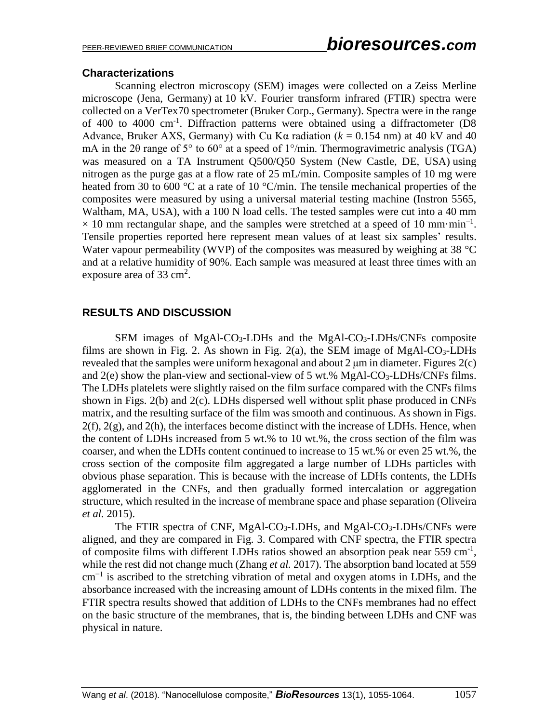#### **Characterizations**

Scanning electron microscopy (SEM) images were collected on a Zeiss Merline microscope (Jena, Germany) at 10 kV. Fourier transform infrared (FTIR) spectra were collected on a VerTex70 spectrometer (Bruker Corp., Germany). Spectra were in the range of 400 to 4000 cm-1 . Diffraction patterns were obtained using a diffractometer (D8 Advance, Bruker AXS, Germany) with Cu K $\alpha$  radiation ( $k = 0.154$  nm) at 40 kV and 40 mA in the 2 $\theta$  range of 5° to 60° at a speed of 1°/min. Thermogravimetric analysis (TGA) was measured on a TA Instrument Q500/Q50 System (New Castle, DE, USA) using nitrogen as the purge gas at a flow rate of 25 mL/min. Composite samples of 10 mg were heated from 30 to 600 °C at a rate of 10 °C/min. The tensile mechanical properties of the composites were measured by using a universal material testing machine (Instron 5565, Waltham, MA, USA), with a 100 N load cells. The tested samples were cut into a 40 mm  $\times$  10 mm rectangular shape, and the samples were stretched at a speed of 10 mm·min<sup>-1</sup>. Tensile properties reported here represent mean values of at least six samples' results. Water vapour permeability (WVP) of the composites was measured by weighing at 38 °C and at a relative humidity of 90%. Each sample was measured at least three times with an exposure area of  $33 \text{ cm}^2$ .

#### **RESULTS AND DISCUSSION**

SEM images of MgAl-CO3-LDHs and the MgAl-CO3-LDHs/CNFs composite films are shown in Fig. 2. As shown in Fig. 2(a), the SEM image of MgAl- $CO<sub>3</sub>$ -LDHs revealed that the samples were uniform hexagonal and about 2 μm in diameter. Figures 2(c) and  $2(e)$  show the plan-view and sectional-view of 5 wt.% MgAl-CO<sub>3</sub>-LDHs/CNFs films. The LDHs platelets were slightly raised on the film surface compared with the CNFs films shown in Figs. 2(b) and 2(c). LDHs dispersed well without split phase produced in CNFs matrix, and the resulting surface of the film was smooth and continuous. As shown in Figs.  $2(f)$ ,  $2(g)$ , and  $2(h)$ , the interfaces become distinct with the increase of LDHs. Hence, when the content of LDHs increased from 5 wt.% to 10 wt.%, the cross section of the film was coarser, and when the LDHs content continued to increase to 15 wt.% or even 25 wt.%, the cross section of the composite film aggregated a large number of LDHs particles with obvious phase separation. This is because with the increase of LDHs contents, the LDHs agglomerated in the CNFs, and then gradually formed intercalation or aggregation structure, which resulted in the increase of membrane space and phase separation [\(Oliveira](#page-6-0)  *et al.* [2015\)](#page-6-0).

The FTIR spectra of CNF, MgAl-CO<sub>3</sub>-LDHs, and MgAl-CO<sub>3</sub>-LDHs/CNFs were aligned, and they are compared in Fig. 3. Compared with CNF spectra, the FTIR spectra of composite films with different LDHs ratios showed an absorption peak near 559 cm<sup>-1</sup>, while the rest did not change much (Zhang *et al.* 2017). The absorption band located at 559  $cm^{-1}$  is ascribed to the stretching vibration of metal and oxygen atoms in LDHs, and the absorbance increased with the increasing amount of LDHs contents in the mixed film. The FTIR spectra results showed that addition of LDHs to the CNFs membranes had no effect on the basic structure of the membranes, that is, the binding between LDHs and CNF was physical in nature.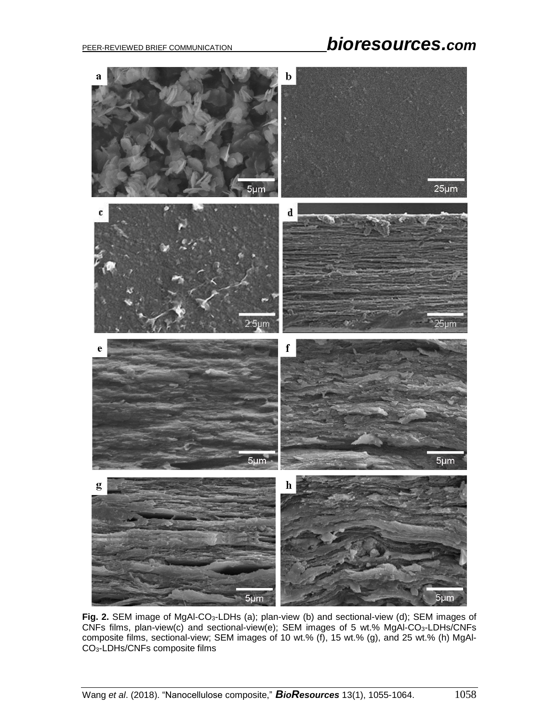# PEER-REVIEWED BRIEF COMMUNICATION *bioresources.com*



Fig. 2. SEM image of MgAl-CO<sub>3</sub>-LDHs (a); plan-view (b) and sectional-view (d); SEM images of CNFs films, plan-view(c) and sectional-view(e); SEM images of 5 wt.% MgAl-CO3-LDHs/CNFs composite films, sectional-view; SEM images of 10 wt.% (f), 15 wt.% (g), and 25 wt.% (h) MgAl-CO3-LDHs/CNFs composite films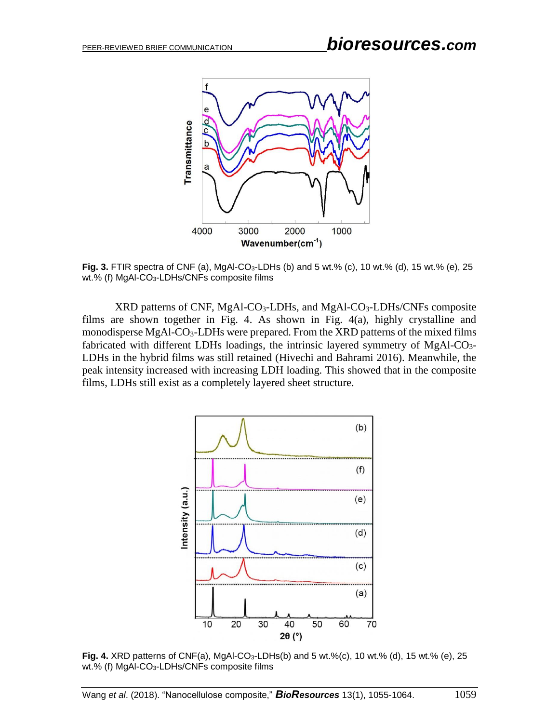

**Fig. 3.** FTIR spectra of CNF (a), MgAl-CO3-LDHs (b) and 5 wt.% (c), 10 wt.% (d), 15 wt.% (e), 25 wt.% (f) MgAl-CO3-LDHs/CNFs composite films

XRD patterns of CNF, MgAl-CO3-LDHs, and MgAl-CO3-LDHs/CNFs composite films are shown together in Fig. 4. As shown in Fig. 4(a), highly crystalline and monodisperse MgAl-CO3-LDHs were prepared. From the XRD patterns of the mixed films fabricated with different LDHs loadings, the intrinsic layered symmetry of MgAl-CO<sub>3</sub>-LDHs in the hybrid films was still retained (Hivechi and Bahrami 2016). Meanwhile, the peak intensity increased with increasing LDH loading. This showed that in the composite films, LDHs still exist as a completely layered sheet structure.



**Fig. 4.** XRD patterns of CNF(a), MgAl-CO3-LDHs(b) and 5 wt.%(c), 10 wt.% (d), 15 wt.% (e), 25 wt.% (f) MgAl-CO3-LDHs/CNFs composite films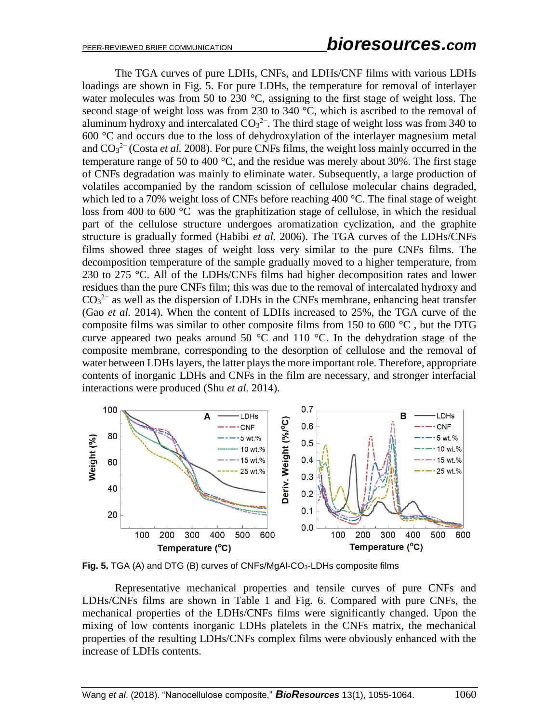The TGA curves of pure LDHs, CNFs, and LDHs/CNF films with various LDHs loadings are shown in Fig. 5. For pure LDHs, the temperature for removal of interlayer water molecules was from 50 to 230 °C, assigning to the first stage of weight loss. The second stage of weight loss was from 230 to  $340^{\circ}$ C, which is ascribed to the removal of aluminum hydroxy and intercalated  $CO<sub>3</sub><sup>2</sup>$ . The third stage of weight loss was from 340 to 600 °C and occurs due to the loss of dehydroxylation of the interlayer magnesium metal and  $CO<sub>3</sub><sup>2–</sup>$  (Costa *et al.* 2008). For pure CNFs films, the weight loss mainly occurred in the temperature range of 50 to 400  $^{\circ}$ C, and the residue was merely about 30%. The first stage of CNFs degradation was mainly to eliminate water. Subsequently, a large production of volatiles accompanied by the random scission of cellulose molecular chains degraded, which led to a 70% weight loss of CNFs before reaching 400 °C. The final stage of weight loss from 400 to 600  $\degree$ C was the graphitization stage of cellulose, in which the residual part of the cellulose structure undergoes aromatization cyclization, and the graphite structure is gradually formed [\(Habibi](#page-6-0) *et al.* 2006). The TGA curves of the LDHs/CNFs films showed three stages of weight loss very similar to the pure CNFs films. The decomposition temperature of the sample gradually moved to a higher temperature, from 230 to 275 °C. All of the LDHs/CNFs films had higher decomposition rates and lower residues than the pure CNFs film; this was due to the removal of intercalated hydroxy and  $CO<sub>3</sub><sup>2−</sup>$  as well as the dispersion of LDHs in the CNFs membrane, enhancing heat transfer (Gao *et al.* 2014). When the content of LDHs increased to 25%, the TGA curve of the composite films was similar to other composite films from 150 to 600 °C , but the DTG curve appeared two peaks around 50  $\degree$ C and 110  $\degree$ C. In the dehydration stage of the composite membrane, corresponding to the desorption of cellulose and the removal of water between LDHs layers, the latter plays the more important role. Therefore, appropriate contents of inorganic LDHs and CNFs in the film are necessary, and stronger interfacial interactions were produced (Shu *et al.* [2014\)](#page-6-0).



**Fig. 5.** TGA (A) and DTG (B) curves of CNFs/MgAl-CO3-LDHs composite films

Representative mechanical properties and tensile curves of pure CNFs and LDHs/CNFs films are shown in Table 1 and Fig. 6. Compared with pure CNFs, the mechanical properties of the LDHs/CNFs films were significantly changed. Upon the mixing of low contents inorganic LDHs platelets in the CNFs matrix, the mechanical properties of the resulting LDHs/CNFs complex films were obviously enhanced with the increase of LDHs contents.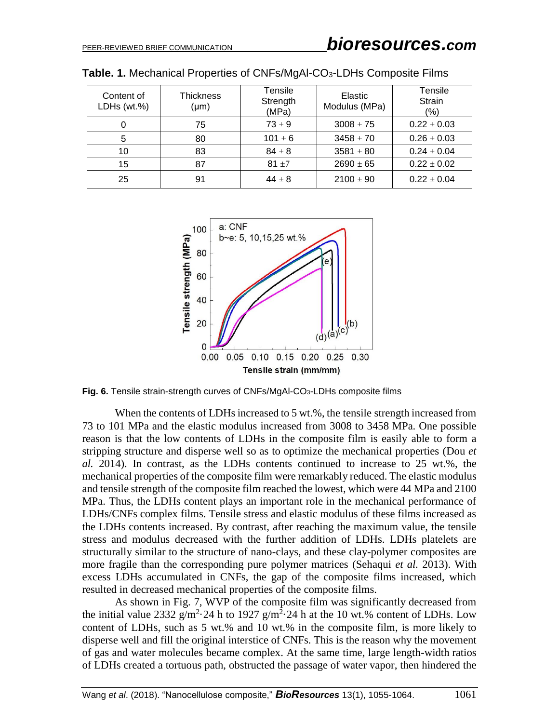| Content of<br>LDHs $(wt.%)$ | <b>Thickness</b><br>$(\mu m)$ | Tensile<br>Strength<br>(MPa) | Elastic<br>Modulus (MPa) | Tensile<br>Strain<br>(% ) |
|-----------------------------|-------------------------------|------------------------------|--------------------------|---------------------------|
|                             | 75                            | $73 + 9$                     | $3008 \pm 75$            | $0.22 \pm 0.03$           |
| 5                           | 80                            | $101 \pm 6$                  | $3458 \pm 70$            | $0.26 \pm 0.03$           |
| 10                          | 83                            | $84 + 8$                     | $3581 \pm 80$            | $0.24 \pm 0.04$           |
| 15                          | 87                            | $81 + 7$                     | $2690 \pm 65$            | $0.22 \pm 0.02$           |
| 25                          | 91                            | $44 + 8$                     | $2100 \pm 90$            | $0.22 \pm 0.04$           |

**Table. 1.** Mechanical Properties of CNFs/MgAl-CO3-LDHs Composite Films



**Fig. 6.** Tensile strain-strength curves of CNFs/MgAl-CO3-LDHs composite films

When the contents of LDHs increased to 5 wt.%, the tensile strength increased from 73 to 101 MPa and the elastic modulus increased from 3008 to 3458 MPa. One possible reason is that the low contents of LDHs in the composite film is easily able to form a stripping structure and disperse well so as to optimize the mechanical properties (Dou *et al.* 2014). In contrast, as the LDHs contents continued to increase to 25 wt.%, the mechanical properties of the composite film were remarkably reduced. The elastic modulus and tensile strength of the composite film reached the lowest, which were 44 MPa and 2100 MPa. Thus, the LDHs content plays an important role in the mechanical performance of LDHs/CNFs complex films. Tensile stress and elastic modulus of these films increased as the LDHs contents increased. By contrast, after reaching the maximum value, the tensile stress and modulus decreased with the further addition of LDHs. LDHs platelets are structurally similar to the structure of nano-clays, and these clay-polymer composites are more fragile than the corresponding pure polymer matrices [\(Sehaqui](#page-6-0) *et al.* 2013). With excess LDHs accumulated in CNFs, the gap of the composite films increased, which resulted in decreased mechanical properties of the composite films.

<span id="page-6-0"></span>As shown in Fig. 7, WVP of the composite film was significantly decreased from the initial value 2332  $g/m^2$  24 h to 1927  $g/m^2$  24 h at the 10 wt.% content of LDHs. Low content of LDHs, such as 5 wt.% and 10 wt.% in the composite film, is more likely to disperse well and fill the original interstice of CNFs. This is the reason why the movement of gas and water molecules became complex. At the same time, large length-width ratios of LDHs created a tortuous path, obstructed the passage of water vapor, then hindered the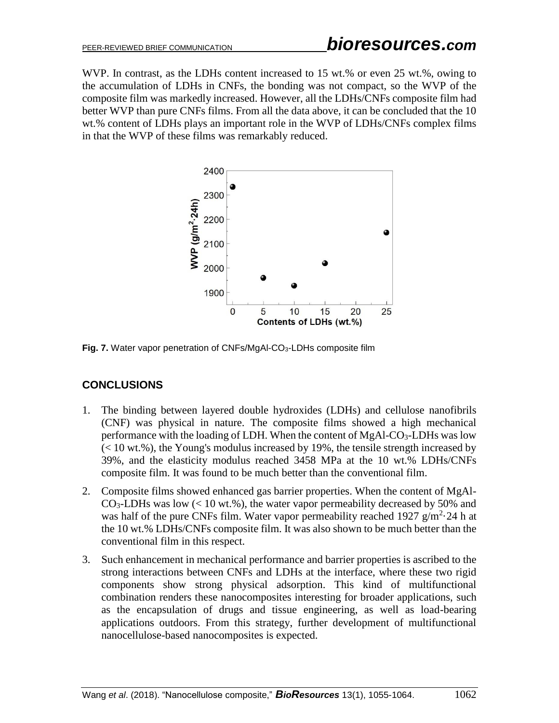WVP. In contrast, as the LDHs content increased to 15 wt.% or even 25 wt.%, owing to the accumulation of LDHs in CNFs, the bonding was not compact, so the WVP of the composite film was markedly increased. However, all the LDHs/CNFs composite film had better WVP than pure CNFs films. From all the data above, it can be concluded that the 10 wt.% content of LDHs plays an important role in the WVP of LDHs/CNFs complex films in that the WVP of these films was remarkably reduced.



**Fig. 7.** Water vapor penetration of CNFs/MgAl-CO3-LDHs composite film

### **CONCLUSIONS**

- 1. The binding between layered double hydroxides (LDHs) and cellulose nanofibrils (CNF) was physical in nature. The composite films showed a high mechanical performance with the loading of LDH. When the content of  $MgAl-CO<sub>3</sub>-LDHs$  was low (< 10 wt.%), the Young's modulus increased by 19%, the tensile strength increased by 39%, and the elasticity modulus reached 3458 MPa at the 10 wt.% LDHs/CNFs composite film. It was found to be much better than the conventional film.
- 2. Composite films showed enhanced gas barrier properties. When the content of MgAl- $CO<sub>3</sub>-LDHs$  was low (< 10 wt.%), the water vapor permeability decreased by 50% and was half of the pure CNFs film. Water vapor permeability reached 1927  $g/m^2$ -24 h at the 10 wt.% LDHs/CNFs composite film. It was also shown to be much better than the conventional film in this respect.
- 3. Such enhancement in mechanical performance and barrier properties is ascribed to the strong interactions between CNFs and LDHs at the interface, where these two rigid components show strong physical adsorption. This kind of multifunctional combination renders these nanocomposites interesting for broader applications, such as the encapsulation of drugs and tissue engineering, as well as load-bearing applications outdoors. From this strategy, further development of multifunctional nanocellulose-based nanocomposites is expected.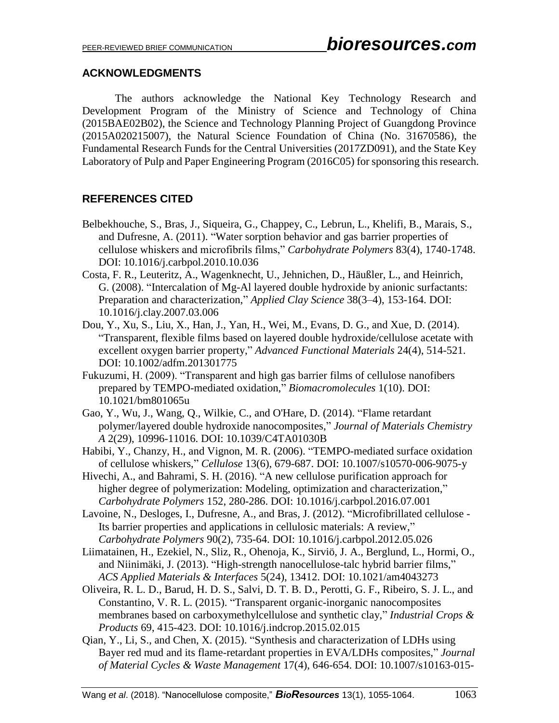#### **ACKNOWLEDGMENTS**

The authors acknowledge the National Key Technology Research and Development Program of the Ministry of Science and Technology of China (2015BAE02B02), the Science and Technology Planning Project of Guangdong Province (2015A020215007), the Natural Science Foundation of China (No. 31670586), the Fundamental Research Funds for the Central Universities (2017ZD091), and the State Key Laboratory of Pulp and Paper Engineering Program (2016C05) for sponsoring this research.

#### **REFERENCES CITED**

- Belbekhouche, S., Bras, J., Siqueira, G., Chappey, C., Lebrun, L., Khelifi, B., Marais, S., and Dufresne, A. (2011). "Water sorption behavior and gas barrier properties of cellulose whiskers and microfibrils films," *Carbohydrate Polymers* 83(4), 1740-1748. DOI: 10.1016/j.carbpol.2010.10.036
- Costa, F. R., Leuteritz, A., Wagenknecht, U., Jehnichen, D., Häußler, L., and Heinrich, G. (2008). "Intercalation of Mg-Al layered double hydroxide by anionic surfactants: Preparation and characterization," *Applied Clay Science* 38(3–4), 153-164. DOI: 10.1016/j.clay.2007.03.006
- Dou, Y., Xu, S., Liu, X., Han, J., Yan, H., Wei, M., Evans, D. G., and Xue, D. (2014). "Transparent, flexible films based on layered double hydroxide/cellulose acetate with excellent oxygen barrier property," *Advanced Functional Materials* 24(4), 514-521. DOI: 10.1002/adfm.201301775
- Fukuzumi, H. (2009). "Transparent and high gas barrier films of cellulose nanofibers prepared by TEMPO-mediated oxidation," *Biomacromolecules* 1(10). DOI: 10.1021/bm801065u
- Gao, Y., Wu, J., Wang, Q., Wilkie, C., and O'Hare, D. (2014). "Flame retardant polymer/layered double hydroxide nanocomposites," *Journal of Materials Chemistry A* 2(29), 10996-11016. DOI: 10.1039/C4TA01030B
- Habibi, Y., Chanzy, H., and Vignon, M. R. (2006). "TEMPO-mediated surface oxidation of cellulose whiskers," *Cellulose* 13(6), 679-687. DOI: 10.1007/s10570-006-9075-y
- Hivechi, A., and Bahrami, S. H. (2016). "A new cellulose purification approach for higher degree of polymerization: Modeling, optimization and characterization," *Carbohydrate Polymers* 152, 280-286. DOI: 10.1016/j.carbpol.2016.07.001
- Lavoine, N., Desloges, I., Dufresne, A., and Bras, J. (2012). "Microfibrillated cellulose Its barrier properties and applications in cellulosic materials: A review," *Carbohydrate Polymers* 90(2), 735-64. DOI: 10.1016/j.carbpol.2012.05.026
- Liimatainen, H., Ezekiel, N., Sliz, R., Ohenoja, K., Sirviö, J. A., Berglund, L., Hormi, O., and Niinimäki, J. (2013). "High-strength nanocellulose-talc hybrid barrier films," *ACS Applied Materials & Interfaces* 5(24), 13412. DOI: 10.1021/am4043273
- Oliveira, R. L. D., Barud, H. D. S., Salvi, D. T. B. D., Perotti, G. F., Ribeiro, S. J. L., and Constantino, V. R. L. (2015). "Transparent organic-inorganic nanocomposites membranes based on carboxymethylcellulose and synthetic clay," *Industrial Crops & Products* 69, 415-423. DOI: 10.1016/j.indcrop.2015.02.015
- Qian, Y., Li, S., and Chen, X. (2015). "Synthesis and characterization of LDHs using Bayer red mud and its flame-retardant properties in EVA/LDHs composites," *Journal of Material Cycles & Waste Management* 17(4), 646-654. DOI: 10.1007/s10163-015-